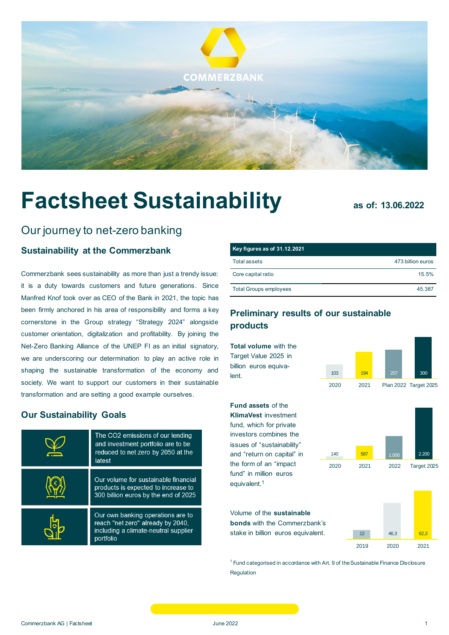

# **Factsheet Sustainability as of: 13.06.2022**

# Our journey to net-zero banking

# **[Sustainability at the Commerzbank](https://www.commerzbank.de/en/nachhaltigkeit/governance/strategie/strategie_2.html)**

Commerzbank sees sustainability as more than just a trendy issue: it is a duty towards customers and future generations. Since Manfred Knof took over as CEO of the Bank in 2021, the topic has been firmly anchored in his area of responsibility and forms a key cornerstone in the Group strategy "Strategy 2024" alongside customer orientation, digitalization and profitability. By joining the [Net-Zero Banking Alliance](https://www.commerzbank.de/en/nachhaltigkeit/nachhaltigkeitsstandards/mitgliedschaften_und_initiativen/mitgliedschaften___initiativen_1.html) of the [UNEP FI](https://www.commerzbank.de/en/nachhaltigkeit/nachhaltigkeitsstandards/mitgliedschaften_und_initiativen/mitgliedschaften___initiativen_1.html) as an initial signatory, we are underscoring our determination to play an active role in shaping the sustainable transformation of the economy and society. We want to support our customers in their sustainable transformation and are setting a good example ourselves.

#### **[Our Sustainability Goals](https://www.commerzbank.de/en/nachhaltigkeit/governance/strategie/strategie_2.html)**

| The CO2 emissions of our lending<br>and investment portfolio are to be<br>reduced to net zero by 2050 at the<br>latest      |
|-----------------------------------------------------------------------------------------------------------------------------|
| Our volume for sustainable financial<br>products is expected to increase to<br>300 billion euros by the end of 2025         |
| Our own banking operations are to<br>reach "net zero" already by 2040,<br>including a climate-neutral supplier<br>portfolio |

| Key figures as of 31.12.2021  |                   |
|-------------------------------|-------------------|
| Total assets                  | 473 billion euros |
| Core capital ratio            | 15.5%             |
| <b>Total Groups employees</b> | 45 387            |

# **[Preliminary results of our sustainable](https://www.commerzbank.de/en/nachhaltigkeit/markt___kunden/Clients.html)  [products](https://www.commerzbank.de/en/nachhaltigkeit/markt___kunden/Clients.html)**

**Total volume** with the Target Value 2025 in billion euros equivalent.



**Fund assets** of the

**KlimaVest** investment fund, which for private investors combines the issues of "sustainability" and "return on capital" in the form of an "impact fund" in million euros equivalent. 1



Volume of the **sustainable bonds** with the Commerzbank's stake in billion euros equivalent.

12 46,3 62,3 2019 2020 2021

<sup>1</sup> Fund categorised in accordance with Art. 9 of the Sustainable Finance Disclosure [Regulation](https://ec.europa.eu/info/business-economy-euro/banking-and-finance/sustainable-finance/sustainability-related-disclosure-financial-services-sector_en)